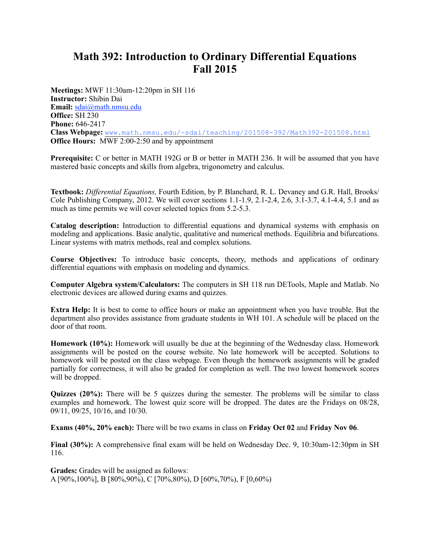## **Math 392: Introduction to Ordinary Differential Equations Fall 2015**

**Meetings:** MWF 11:30am-12:20pm in SH 116 **Instructor:** Shibin Dai **Email:** [sdai@math.nmsu.edu](mailto:sdai@math.nmsu.edu) **Office:** SH 230 **Phone:** 646-2417 **Class Webpage:** [www.math.nmsu.edu/~sdai/teaching/201508-392/Math392-201508.html](http://www.math.nmsu.edu/~sdai/teaching/201508-392/Math392-201508.html) **Office Hours:** MWF 2:00-2:50 and by appointment

**Prerequisite:** C or better in MATH 192G or B or better in MATH 236. It will be assumed that you have mastered basic concepts and skills from algebra, trigonometry and calculus.

**Textbook:** *Differential Equations,* Fourth Edition, by P. Blanchard, R. L. Devaney and G.R. Hall, Brooks/ Cole Publishing Company, 2012. We will cover sections  $1.1-1.9$ ,  $2.1-2.4$ ,  $2.6$ ,  $3.1-3.7$ ,  $4.1-4.4$ ,  $5.1$  and as much as time permits we will cover selected topics from 5.2-5.3.

**Catalog description:** Introduction to differential equations and dynamical systems with emphasis on modeling and applications. Basic analytic, qualitative and numerical methods. Equilibria and bifurcations. Linear systems with matrix methods, real and complex solutions.

**Course Objectives:** To introduce basic concepts, theory, methods and applications of ordinary differential equations with emphasis on modeling and dynamics.

**Computer Algebra system/Calculators:** The computers in SH 118 run DETools, Maple and Matlab. No electronic devices are allowed during exams and quizzes.

**Extra Help:** It is best to come to office hours or make an appointment when you have trouble. But the department also provides assistance from graduate students in WH 101. A schedule will be placed on the door of that room.

**Homework (10%):** Homework will usually be due at the beginning of the Wednesday class. Homework assignments will be posted on the course website. No late homework will be accepted. Solutions to homework will be posted on the class webpage. Even though the homework assignments will be graded partially for correctness, it will also be graded for completion as well. The two lowest homework scores will be dropped.

**Quizzes (20%):** There will be 5 quizzes during the semester. The problems will be similar to class examples and homework. The lowest quiz score will be dropped. The dates are the Fridays on 08/28, 09/11, 09/25, 10/16, and 10/30.

**Exams (40%, 20% each):** There will be two exams in class on **Friday Oct 02** and **Friday Nov 06**.

**Final (30%):** A comprehensive final exam will be held on Wednesday Dec. 9, 10:30am-12:30pm in SH 116.

**Grades:** Grades will be assigned as follows: A [90%,100%], B [80%,90%), C [70%,80%), D [60%,70%), F [0,60%)